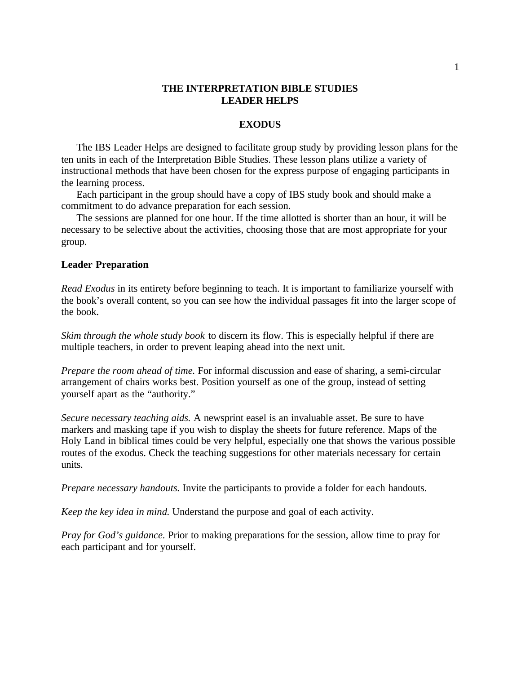### **THE INTERPRETATION BIBLE STUDIES LEADER HELPS**

#### **EXODUS**

The IBS Leader Helps are designed to facilitate group study by providing lesson plans for the ten units in each of the Interpretation Bible Studies. These lesson plans utilize a variety of instructional methods that have been chosen for the express purpose of engaging participants in the learning process.

Each participant in the group should have a copy of IBS study book and should make a commitment to do advance preparation for each session.

The sessions are planned for one hour. If the time allotted is shorter than an hour, it will be necessary to be selective about the activities, choosing those that are most appropriate for your group.

### **Leader Preparation**

*Read Exodus* in its entirety before beginning to teach. It is important to familiarize yourself with the book's overall content, so you can see how the individual passages fit into the larger scope of the book.

*Skim through the whole study book* to discern its flow. This is especially helpful if there are multiple teachers, in order to prevent leaping ahead into the next unit.

*Prepare the room ahead of time.* For informal discussion and ease of sharing, a semi-circular arrangement of chairs works best. Position yourself as one of the group, instead of setting yourself apart as the "authority."

*Secure necessary teaching aids.* A newsprint easel is an invaluable asset. Be sure to have markers and masking tape if you wish to display the sheets for future reference. Maps of the Holy Land in biblical times could be very helpful, especially one that shows the various possible routes of the exodus. Check the teaching suggestions for other materials necessary for certain units.

*Prepare necessary handouts.* Invite the participants to provide a folder for each handouts.

*Keep the key idea in mind.* Understand the purpose and goal of each activity.

*Pray for God's guidance.* Prior to making preparations for the session, allow time to pray for each participant and for yourself.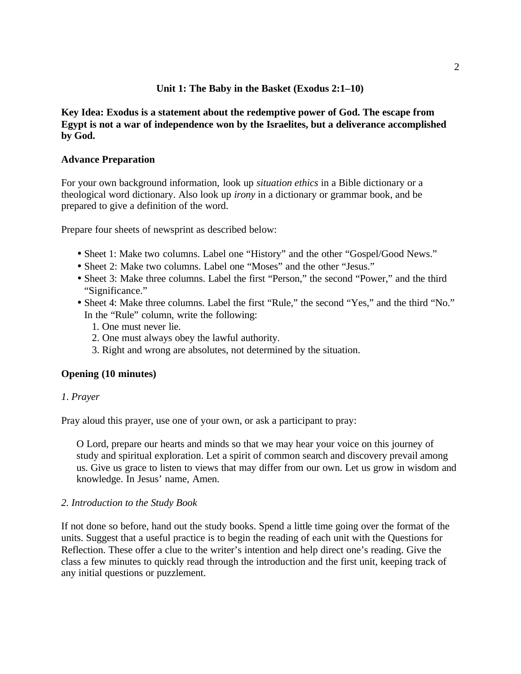## **Unit 1: The Baby in the Basket (Exodus 2:1–10)**

## **Key Idea: Exodus is a statement about the redemptive power of God. The escape from Egypt is not a war of independence won by the Israelites, but a deliverance accomplished by God.**

## **Advance Preparation**

For your own background information, look up *situation ethics* in a Bible dictionary or a theological word dictionary. Also look up *irony* in a dictionary or grammar book, and be prepared to give a definition of the word.

Prepare four sheets of newsprint as described below:

- Sheet 1: Make two columns. Label one "History" and the other "Gospel/Good News."
- Sheet 2: Make two columns. Label one "Moses" and the other "Jesus."
- Sheet 3: Make three columns. Label the first "Person," the second "Power," and the third "Significance."
- Sheet 4: Make three columns. Label the first "Rule," the second "Yes," and the third "No." In the "Rule" column, write the following:
	- 1. One must never lie.
	- 2. One must always obey the lawful authority.
	- 3. Right and wrong are absolutes, not determined by the situation.

## **Opening (10 minutes)**

#### *1*. *Prayer*

Pray aloud this prayer, use one of your own, or ask a participant to pray:

O Lord, prepare our hearts and minds so that we may hear your voice on this journey of study and spiritual exploration. Let a spirit of common search and discovery prevail among us. Give us grace to listen to views that may differ from our own. Let us grow in wisdom and knowledge. In Jesus' name, Amen.

#### *2. Introduction to the Study Book*

If not done so before, hand out the study books. Spend a little time going over the format of the units. Suggest that a useful practice is to begin the reading of each unit with the Questions for Reflection. These offer a clue to the writer's intention and help direct one's reading. Give the class a few minutes to quickly read through the introduction and the first unit, keeping track of any initial questions or puzzlement.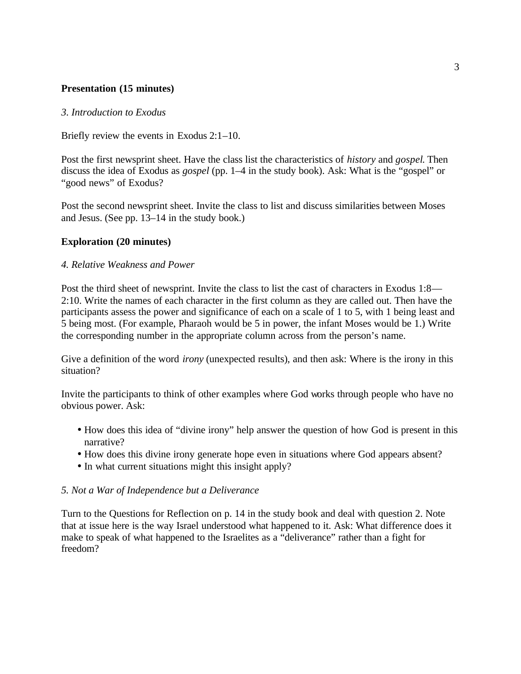## **Presentation (15 minutes)**

### *3. Introduction to Exodus*

Briefly review the events in Exodus 2:1–10.

Post the first newsprint sheet. Have the class list the characteristics of *history* and *gospel*. Then discuss the idea of Exodus as *gospel* (pp. 1–4 in the study book). Ask: What is the "gospel" or "good news" of Exodus?

Post the second newsprint sheet. Invite the class to list and discuss similarities between Moses and Jesus. (See pp. 13–14 in the study book.)

## **Exploration (20 minutes)**

### *4. Relative Weakness and Power*

Post the third sheet of newsprint. Invite the class to list the cast of characters in Exodus 1:8— 2:10. Write the names of each character in the first column as they are called out. Then have the participants assess the power and significance of each on a scale of 1 to 5, with 1 being least and 5 being most. (For example, Pharaoh would be 5 in power, the infant Moses would be 1.) Write the corresponding number in the appropriate column across from the person's name.

Give a definition of the word *irony* (unexpected results), and then ask: Where is the irony in this situation?

Invite the participants to think of other examples where God works through people who have no obvious power. Ask:

- How does this idea of "divine irony" help answer the question of how God is present in this narrative?
- How does this divine irony generate hope even in situations where God appears absent?
- In what current situations might this insight apply?

## *5. Not a War of Independence but a Deliverance*

Turn to the Questions for Reflection on p. 14 in the study book and deal with question 2. Note that at issue here is the way Israel understood what happened to it. Ask: What difference does it make to speak of what happened to the Israelites as a "deliverance" rather than a fight for freedom?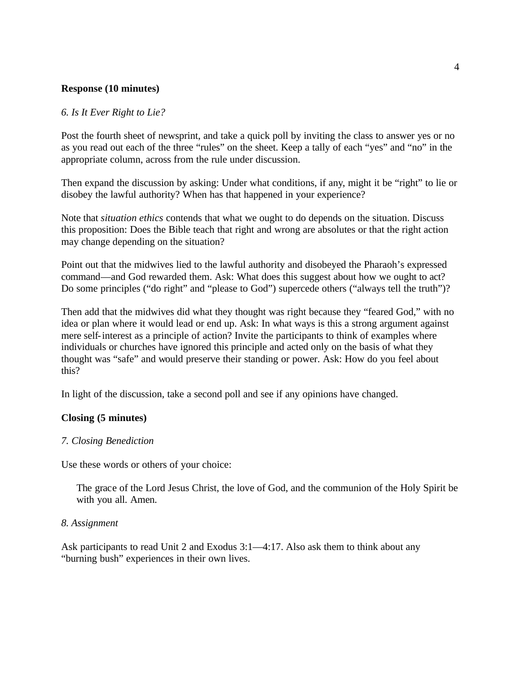#### **Response (10 minutes)**

#### *6. Is It Ever Right to Lie?*

Post the fourth sheet of newsprint, and take a quick poll by inviting the class to answer yes or no as you read out each of the three "rules" on the sheet. Keep a tally of each "yes" and "no" in the appropriate column, across from the rule under discussion.

Then expand the discussion by asking: Under what conditions, if any, might it be "right" to lie or disobey the lawful authority? When has that happened in your experience?

Note that *situation ethics* contends that what we ought to do depends on the situation. Discuss this proposition: Does the Bible teach that right and wrong are absolutes or that the right action may change depending on the situation?

Point out that the midwives lied to the lawful authority and disobeyed the Pharaoh's expressed command—and God rewarded them. Ask: What does this suggest about how we ought to act? Do some principles ("do right" and "please to God") supercede others ("always tell the truth")?

Then add that the midwives did what they thought was right because they "feared God," with no idea or plan where it would lead or end up. Ask: In what ways is this a strong argument against mere self-interest as a principle of action? Invite the participants to think of examples where individuals or churches have ignored this principle and acted only on the basis of what they thought was "safe" and would preserve their standing or power. Ask: How do you feel about this?

In light of the discussion, take a second poll and see if any opinions have changed.

## **Closing (5 minutes)**

#### *7. Closing Benediction*

Use these words or others of your choice:

The grace of the Lord Jesus Christ, the love of God, and the communion of the Holy Spirit be with you all. Amen.

#### *8. Assignment*

Ask participants to read Unit 2 and Exodus 3:1—4:17. Also ask them to think about any "burning bush" experiences in their own lives.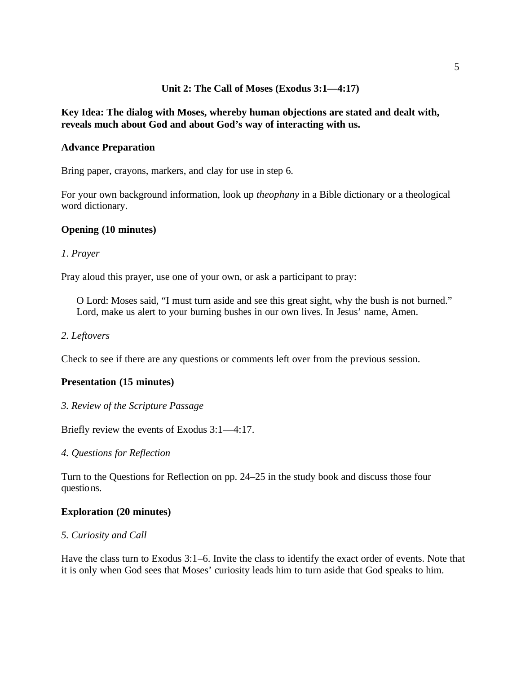## **Unit 2: The Call of Moses (Exodus 3:1—4:17)**

## **Key Idea: The dialog with Moses, whereby human objections are stated and dealt with, reveals much about God and about God's way of interacting with us.**

#### **Advance Preparation**

Bring paper, crayons, markers, and clay for use in step 6.

For your own background information, look up *theophany* in a Bible dictionary or a theological word dictionary.

#### **Opening (10 minutes)**

#### *1*. *Prayer*

Pray aloud this prayer, use one of your own, or ask a participant to pray:

O Lord: Moses said, "I must turn aside and see this great sight, why the bush is not burned." Lord, make us alert to your burning bushes in our own lives. In Jesus' name, Amen.

#### *2. Leftovers*

Check to see if there are any questions or comments left over from the previous session.

#### **Presentation (15 minutes)**

*3. Review of the Scripture Passage*

Briefly review the events of Exodus 3:1—4:17.

*4. Questions for Reflection*

Turn to the Questions for Reflection on pp. 24–25 in the study book and discuss those four questions.

#### **Exploration (20 minutes)**

#### *5. Curiosity and Call*

Have the class turn to Exodus 3:1–6. Invite the class to identify the exact order of events. Note that it is only when God sees that Moses' curiosity leads him to turn aside that God speaks to him.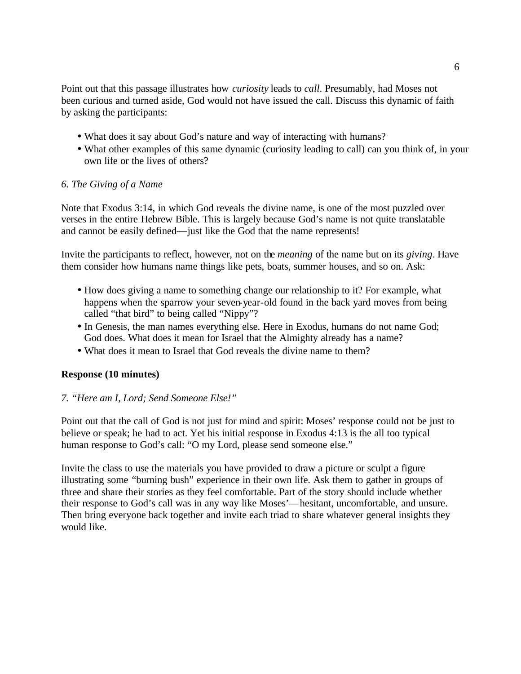Point out that this passage illustrates how *curiosity* leads to *call*. Presumably, had Moses not been curious and turned aside, God would not have issued the call. Discuss this dynamic of faith by asking the participants:

- What does it say about God's nature and way of interacting with humans?
- What other examples of this same dynamic (curiosity leading to call) can you think of, in your own life or the lives of others?

## *6. The Giving of a Name*

Note that Exodus 3:14, in which God reveals the divine name, is one of the most puzzled over verses in the entire Hebrew Bible. This is largely because God's name is not quite translatable and cannot be easily defined—just like the God that the name represents!

Invite the participants to reflect, however, not on the *meaning* of the name but on its *giving*. Have them consider how humans name things like pets, boats, summer houses, and so on. Ask:

- How does giving a name to something change our relationship to it? For example, what happens when the sparrow your seven-year-old found in the back yard moves from being called "that bird" to being called "Nippy"?
- In Genesis, the man names everything else. Here in Exodus, humans do not name God; God does. What does it mean for Israel that the Almighty already has a name?
- What does it mean to Israel that God reveals the divine name to them?

## **Response (10 minutes)**

## *7. "Here am I, Lord; Send Someone Else!"*

Point out that the call of God is not just for mind and spirit: Moses' response could not be just to believe or speak; he had to act. Yet his initial response in Exodus 4:13 is the all too typical human response to God's call: "O my Lord, please send someone else."

Invite the class to use the materials you have provided to draw a picture or sculpt a figure illustrating some "burning bush" experience in their own life. Ask them to gather in groups of three and share their stories as they feel comfortable. Part of the story should include whether their response to God's call was in any way like Moses'—hesitant, uncomfortable, and unsure. Then bring everyone back together and invite each triad to share whatever general insights they would like.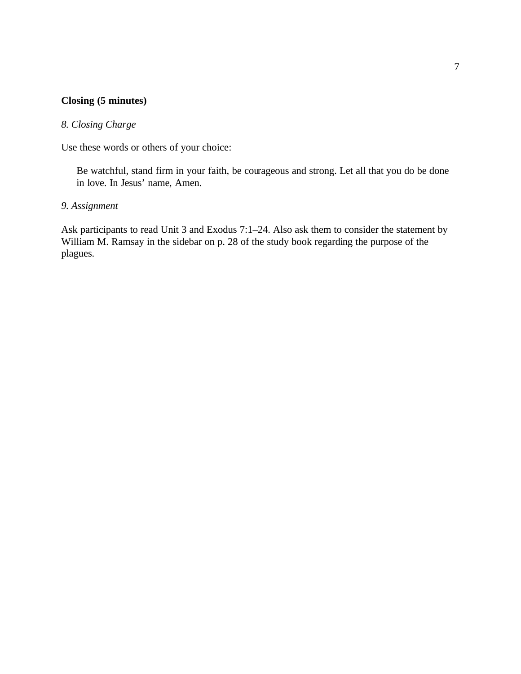# **Closing (5 minutes)**

## *8. Closing Charge*

Use these words or others of your choice:

Be watchful, stand firm in your faith, be courageous and strong. Let all that you do be done in love. In Jesus' name, Amen.

## *9. Assignment*

Ask participants to read Unit 3 and Exodus 7:1–24. Also ask them to consider the statement by William M. Ramsay in the sidebar on p. 28 of the study book regarding the purpose of the plagues.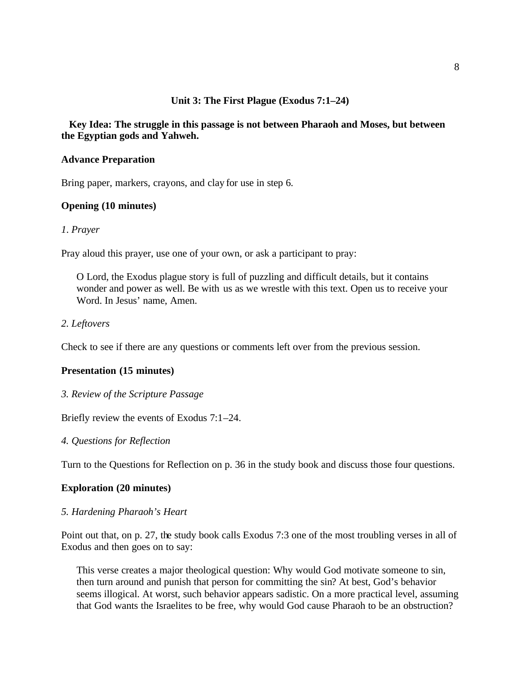## **Unit 3: The First Plague (Exodus 7:1–24)**

## **Key Idea: The struggle in this passage is not between Pharaoh and Moses, but between the Egyptian gods and Yahweh.**

### **Advance Preparation**

Bring paper, markers, crayons, and clay for use in step 6.

### **Opening (10 minutes)**

#### *1*. *Prayer*

Pray aloud this prayer, use one of your own, or ask a participant to pray:

O Lord, the Exodus plague story is full of puzzling and difficult details, but it contains wonder and power as well. Be with us as we wrestle with this text. Open us to receive your Word. In Jesus' name, Amen.

### *2. Leftovers*

Check to see if there are any questions or comments left over from the previous session.

#### **Presentation (15 minutes)**

*3. Review of the Scripture Passage*

Briefly review the events of Exodus 7:1–24.

*4. Questions for Reflection*

Turn to the Questions for Reflection on p. 36 in the study book and discuss those four questions.

#### **Exploration (20 minutes)**

#### *5. Hardening Pharaoh's Heart*

Point out that, on p. 27, the study book calls Exodus 7:3 one of the most troubling verses in all of Exodus and then goes on to say:

This verse creates a major theological question: Why would God motivate someone to sin, then turn around and punish that person for committing the sin? At best, God's behavior seems illogical. At worst, such behavior appears sadistic. On a more practical level, assuming that God wants the Israelites to be free, why would God cause Pharaoh to be an obstruction?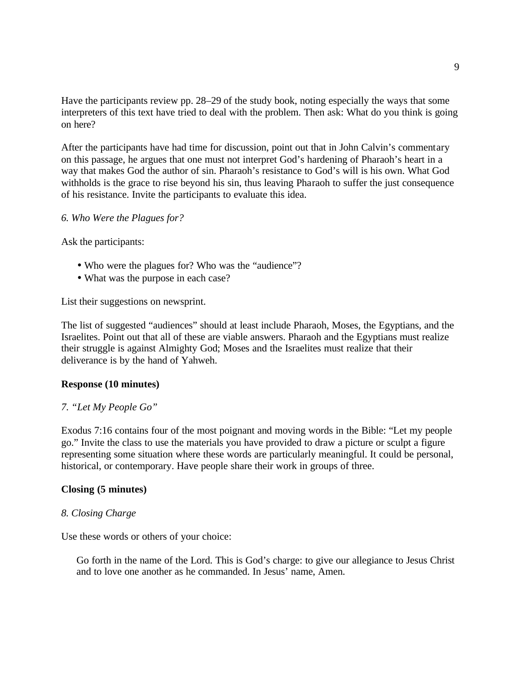Have the participants review pp. 28–29 of the study book, noting especially the ways that some interpreters of this text have tried to deal with the problem. Then ask: What do you think is going on here?

After the participants have had time for discussion, point out that in John Calvin's commentary on this passage, he argues that one must not interpret God's hardening of Pharaoh's heart in a way that makes God the author of sin. Pharaoh's resistance to God's will is his own. What God withholds is the grace to rise beyond his sin, thus leaving Pharaoh to suffer the just consequence of his resistance. Invite the participants to evaluate this idea.

#### *6. Who Were the Plagues for?*

Ask the participants:

- Who were the plagues for? Who was the "audience"?
- What was the purpose in each case?

List their suggestions on newsprint.

The list of suggested "audiences" should at least include Pharaoh, Moses, the Egyptians, and the Israelites. Point out that all of these are viable answers. Pharaoh and the Egyptians must realize their struggle is against Almighty God; Moses and the Israelites must realize that their deliverance is by the hand of Yahweh.

## **Response (10 minutes)**

#### *7. "Let My People Go"*

Exodus 7:16 contains four of the most poignant and moving words in the Bible: "Let my people go." Invite the class to use the materials you have provided to draw a picture or sculpt a figure representing some situation where these words are particularly meaningful. It could be personal, historical, or contemporary. Have people share their work in groups of three.

#### **Closing (5 minutes)**

#### *8. Closing Charge*

Use these words or others of your choice:

Go forth in the name of the Lord. This is God's charge: to give our allegiance to Jesus Christ and to love one another as he commanded. In Jesus' name, Amen.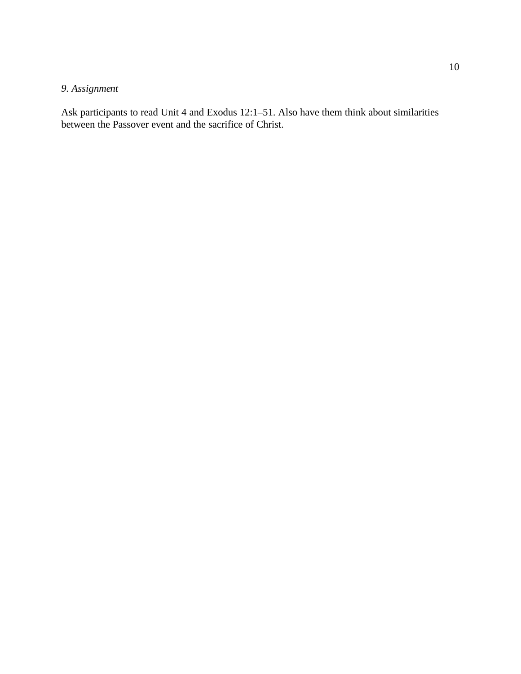# *9. Assignment*

Ask participants to read Unit 4 and Exodus 12:1–51. Also have them think about similarities between the Passover event and the sacrifice of Christ.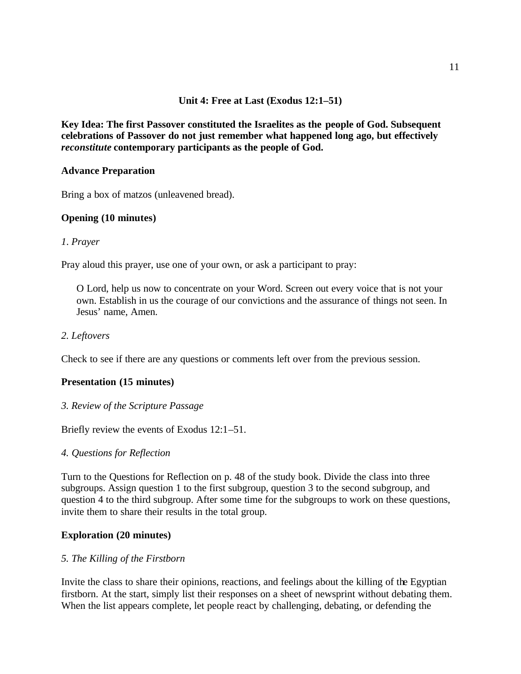## **Unit 4: Free at Last (Exodus 12:1–51)**

**Key Idea: The first Passover constituted the Israelites as the people of God. Subsequent celebrations of Passover do not just remember what happened long ago, but effectively**  *reconstitute* **contemporary participants as the people of God.** 

## **Advance Preparation**

Bring a box of matzos (unleavened bread).

## **Opening (10 minutes)**

## *1*. *Prayer*

Pray aloud this prayer, use one of your own, or ask a participant to pray:

O Lord, help us now to concentrate on your Word. Screen out every voice that is not your own. Establish in us the courage of our convictions and the assurance of things not seen. In Jesus' name, Amen.

### *2. Leftovers*

Check to see if there are any questions or comments left over from the previous session.

## **Presentation (15 minutes)**

*3. Review of the Scripture Passage*

Briefly review the events of Exodus 12:1–51.

#### *4. Questions for Reflection*

Turn to the Questions for Reflection on p. 48 of the study book. Divide the class into three subgroups. Assign question 1 to the first subgroup, question 3 to the second subgroup, and question 4 to the third subgroup. After some time for the subgroups to work on these questions, invite them to share their results in the total group.

## **Exploration (20 minutes)**

#### *5. The Killing of the Firstborn*

Invite the class to share their opinions, reactions, and feelings about the killing of the Egyptian firstborn. At the start, simply list their responses on a sheet of newsprint without debating them. When the list appears complete, let people react by challenging, debating, or defending the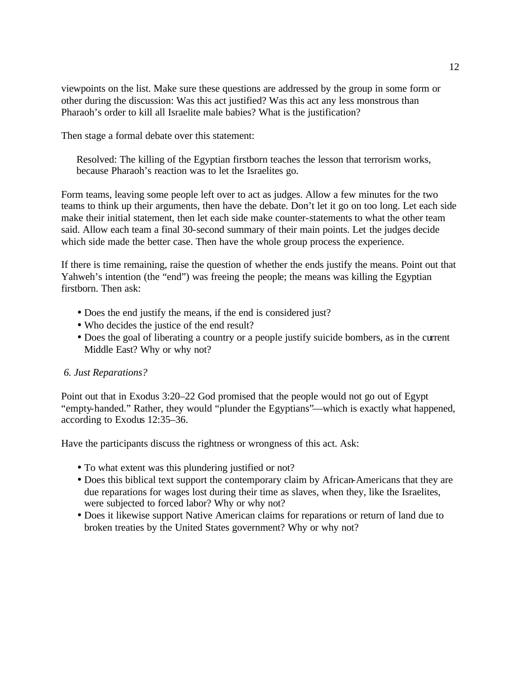viewpoints on the list. Make sure these questions are addressed by the group in some form or other during the discussion: Was this act justified? Was this act any less monstrous than Pharaoh's order to kill all Israelite male babies? What is the justification?

Then stage a formal debate over this statement:

Resolved: The killing of the Egyptian firstborn teaches the lesson that terrorism works, because Pharaoh's reaction was to let the Israelites go.

Form teams, leaving some people left over to act as judges. Allow a few minutes for the two teams to think up their arguments, then have the debate. Don't let it go on too long. Let each side make their initial statement, then let each side make counter-statements to what the other team said. Allow each team a final 30-second summary of their main points. Let the judges decide which side made the better case. Then have the whole group process the experience.

If there is time remaining, raise the question of whether the ends justify the means. Point out that Yahweh's intention (the "end") was freeing the people; the means was killing the Egyptian firstborn. Then ask:

- Does the end justify the means, if the end is considered just?
- Who decides the justice of the end result?
- Does the goal of liberating a country or a people justify suicide bombers, as in the current Middle East? Why or why not?

### *6. Just Reparations?*

Point out that in Exodus 3:20–22 God promised that the people would not go out of Egypt "empty-handed." Rather, they would "plunder the Egyptians"—which is exactly what happened, according to Exodus 12:35–36.

Have the participants discuss the rightness or wrongness of this act. Ask:

- To what extent was this plundering justified or not?
- Does this biblical text support the contemporary claim by African-Americans that they are due reparations for wages lost during their time as slaves, when they, like the Israelites, were subjected to forced labor? Why or why not?
- Does it likewise support Native American claims for reparations or return of land due to broken treaties by the United States government? Why or why not?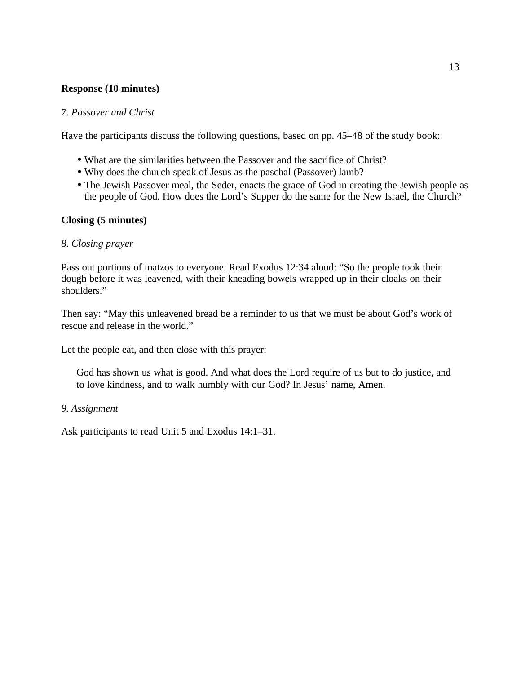## **Response (10 minutes)**

## *7. Passover and Christ*

Have the participants discuss the following questions, based on pp. 45–48 of the study book:

- What are the similarities between the Passover and the sacrifice of Christ?
- Why does the church speak of Jesus as the paschal (Passover) lamb?
- The Jewish Passover meal, the Seder, enacts the grace of God in creating the Jewish people as the people of God. How does the Lord's Supper do the same for the New Israel, the Church?

## **Closing (5 minutes)**

## *8. Closing prayer*

Pass out portions of matzos to everyone. Read Exodus 12:34 aloud: "So the people took their dough before it was leavened, with their kneading bowels wrapped up in their cloaks on their shoulders."

Then say: "May this unleavened bread be a reminder to us that we must be about God's work of rescue and release in the world."

Let the people eat, and then close with this prayer:

God has shown us what is good. And what does the Lord require of us but to do justice, and to love kindness, and to walk humbly with our God? In Jesus' name, Amen.

## *9. Assignment*

Ask participants to read Unit 5 and Exodus 14:1–31.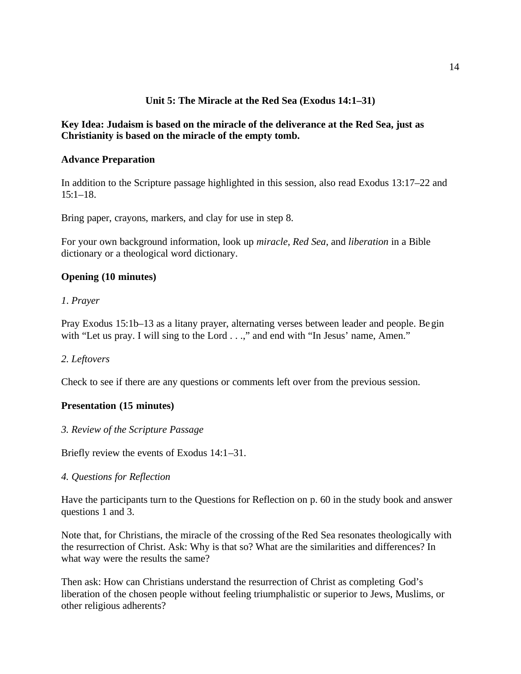## **Unit 5: The Miracle at the Red Sea (Exodus 14:1–31)**

## **Key Idea: Judaism is based on the miracle of the deliverance at the Red Sea, just as Christianity is based on the miracle of the empty tomb.**

## **Advance Preparation**

In addition to the Scripture passage highlighted in this session, also read Exodus 13:17–22 and  $15:1-18$ .

Bring paper, crayons, markers, and clay for use in step 8.

For your own background information, look up *miracle*, *Red Sea*, and *liberation* in a Bible dictionary or a theological word dictionary.

## **Opening (10 minutes)**

## *1*. *Prayer*

Pray Exodus 15:1b–13 as a litany prayer, alternating verses between leader and people. Begin with "Let us pray. I will sing to the Lord . . .," and end with "In Jesus' name, Amen."

## *2. Leftovers*

Check to see if there are any questions or comments left over from the previous session.

## **Presentation (15 minutes)**

#### *3. Review of the Scripture Passage*

Briefly review the events of Exodus 14:1–31.

#### *4. Questions for Reflection*

Have the participants turn to the Questions for Reflection on p. 60 in the study book and answer questions 1 and 3.

Note that, for Christians, the miracle of the crossing of the Red Sea resonates theologically with the resurrection of Christ. Ask: Why is that so? What are the similarities and differences? In what way were the results the same?

Then ask: How can Christians understand the resurrection of Christ as completing God's liberation of the chosen people without feeling triumphalistic or superior to Jews, Muslims, or other religious adherents?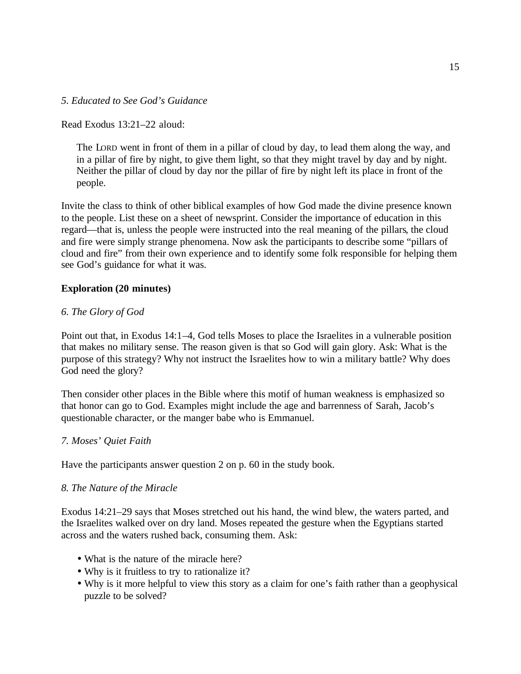## *5. Educated to See God's Guidance*

Read Exodus 13:21–22 aloud:

The LORD went in front of them in a pillar of cloud by day, to lead them along the way, and in a pillar of fire by night, to give them light, so that they might travel by day and by night. Neither the pillar of cloud by day nor the pillar of fire by night left its place in front of the people.

Invite the class to think of other biblical examples of how God made the divine presence known to the people. List these on a sheet of newsprint. Consider the importance of education in this regard—that is, unless the people were instructed into the real meaning of the pillars, the cloud and fire were simply strange phenomena. Now ask the participants to describe some "pillars of cloud and fire" from their own experience and to identify some folk responsible for helping them see God's guidance for what it was.

## **Exploration (20 minutes)**

### *6. The Glory of God*

Point out that, in Exodus 14:1–4, God tells Moses to place the Israelites in a vulnerable position that makes no military sense. The reason given is that so God will gain glory. Ask: What is the purpose of this strategy? Why not instruct the Israelites how to win a military battle? Why does God need the glory?

Then consider other places in the Bible where this motif of human weakness is emphasized so that honor can go to God. Examples might include the age and barrenness of Sarah, Jacob's questionable character, or the manger babe who is Emmanuel.

## *7. Moses' Quiet Faith*

Have the participants answer question 2 on p. 60 in the study book.

#### *8. The Nature of the Miracle*

Exodus 14:21–29 says that Moses stretched out his hand, the wind blew, the waters parted, and the Israelites walked over on dry land. Moses repeated the gesture when the Egyptians started across and the waters rushed back, consuming them. Ask:

- What is the nature of the miracle here?
- Why is it fruitless to try to rationalize it?
- Why is it more helpful to view this story as a claim for one's faith rather than a geophysical puzzle to be solved?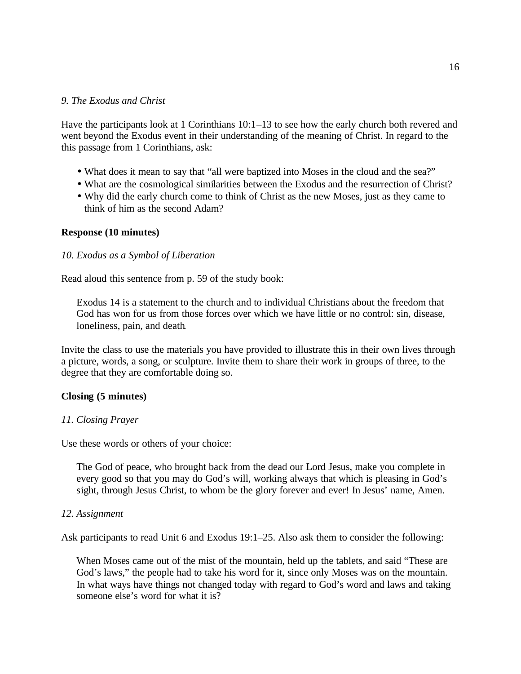### *9. The Exodus and Christ*

Have the participants look at 1 Corinthians 10:1–13 to see how the early church both revered and went beyond the Exodus event in their understanding of the meaning of Christ. In regard to the this passage from 1 Corinthians, ask:

- What does it mean to say that "all were baptized into Moses in the cloud and the sea?"
- What are the cosmological similarities between the Exodus and the resurrection of Christ?
- Why did the early church come to think of Christ as the new Moses, just as they came to think of him as the second Adam?

#### **Response (10 minutes)**

#### *10. Exodus as a Symbol of Liberation*

Read aloud this sentence from p. 59 of the study book:

Exodus 14 is a statement to the church and to individual Christians about the freedom that God has won for us from those forces over which we have little or no control: sin, disease, loneliness, pain, and death.

Invite the class to use the materials you have provided to illustrate this in their own lives through a picture, words, a song, or sculpture. Invite them to share their work in groups of three, to the degree that they are comfortable doing so.

#### **Closing (5 minutes)**

#### *11. Closing Prayer*

Use these words or others of your choice:

The God of peace, who brought back from the dead our Lord Jesus, make you complete in every good so that you may do God's will, working always that which is pleasing in God's sight, through Jesus Christ, to whom be the glory forever and ever! In Jesus' name, Amen.

#### *12. Assignment*

Ask participants to read Unit 6 and Exodus 19:1–25. Also ask them to consider the following:

When Moses came out of the mist of the mountain, held up the tablets, and said "These are God's laws," the people had to take his word for it, since only Moses was on the mountain. In what ways have things not changed today with regard to God's word and laws and taking someone else's word for what it is?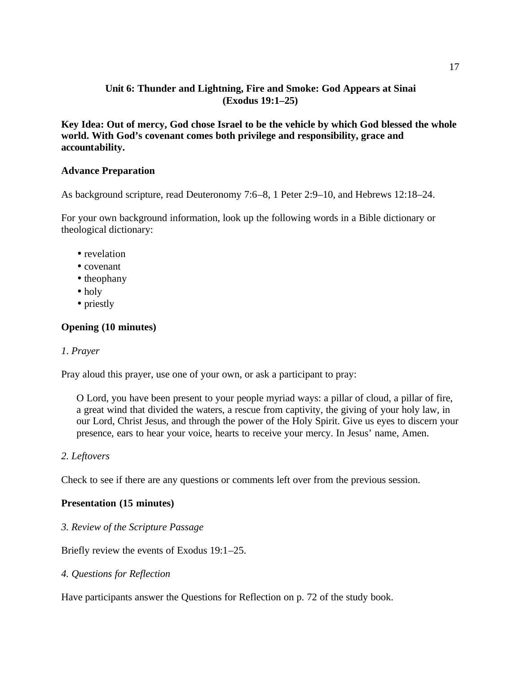## **Unit 6: Thunder and Lightning, Fire and Smoke: God Appears at Sinai (Exodus 19:1–25)**

**Key Idea: Out of mercy, God chose Israel to be the vehicle by which God blessed the whole world. With God's covenant comes both privilege and responsibility, grace and accountability.**

## **Advance Preparation**

As background scripture, read Deuteronomy 7:6–8, 1 Peter 2:9–10, and Hebrews 12:18–24.

For your own background information, look up the following words in a Bible dictionary or theological dictionary:

- revelation
- covenant
- theophany
- holy
- priestly

## **Opening (10 minutes)**

## *1*. *Prayer*

Pray aloud this prayer, use one of your own, or ask a participant to pray:

O Lord, you have been present to your people myriad ways: a pillar of cloud, a pillar of fire, a great wind that divided the waters, a rescue from captivity, the giving of your holy law, in our Lord, Christ Jesus, and through the power of the Holy Spirit. Give us eyes to discern your presence, ears to hear your voice, hearts to receive your mercy. In Jesus' name, Amen.

## *2. Leftovers*

Check to see if there are any questions or comments left over from the previous session.

## **Presentation (15 minutes)**

*3. Review of the Scripture Passage*

Briefly review the events of Exodus 19:1–25.

*4. Questions for Reflection*

Have participants answer the Questions for Reflection on p. 72 of the study book.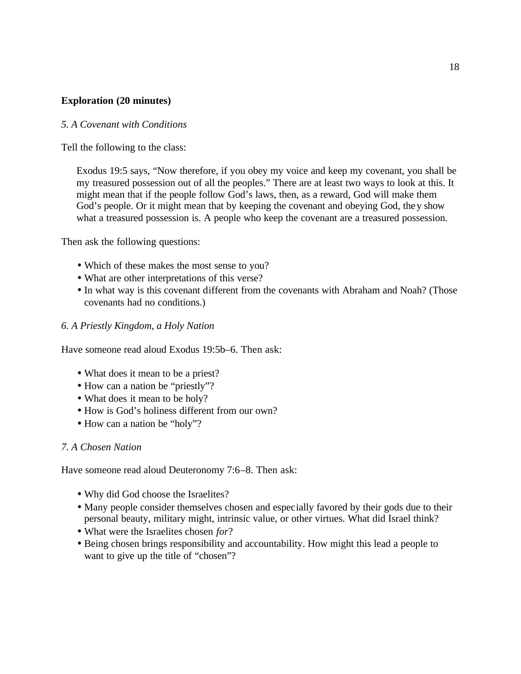## **Exploration (20 minutes)**

### *5. A Covenant with Conditions*

Tell the following to the class:

Exodus 19:5 says, "Now therefore, if you obey my voice and keep my covenant, you shall be my treasured possession out of all the peoples." There are at least two ways to look at this. It might mean that if the people follow God's laws, then, as a reward, God will make them God's people. Or it might mean that by keeping the covenant and obeying God, they show what a treasured possession is. A people who keep the covenant are a treasured possession.

Then ask the following questions:

- Which of these makes the most sense to you?
- What are other interpretations of this verse?
- In what way is this covenant different from the covenants with Abraham and Noah? (Those covenants had no conditions.)

#### *6. A Priestly Kingdom, a Holy Nation*

Have someone read aloud Exodus 19:5b–6. Then ask:

- What does it mean to be a priest?
- How can a nation be "priestly"?
- What does it mean to be holy?
- How is God's holiness different from our own?
- How can a nation be "holy"?

#### *7. A Chosen Nation*

Have someone read aloud Deuteronomy 7:6–8. Then ask:

- Why did God choose the Israelites?
- Many people consider themselves chosen and especially favored by their gods due to their personal beauty, military might, intrinsic value, or other virtues. What did Israel think?
- What were the Israelites chosen *for*?
- Being chosen brings responsibility and accountability. How might this lead a people to want to give up the title of "chosen"?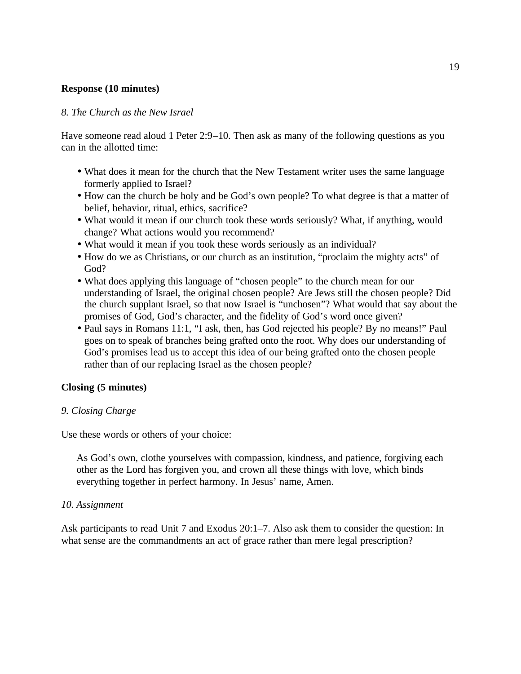### **Response (10 minutes)**

#### *8. The Church as the New Israel*

Have someone read aloud 1 Peter 2:9–10. Then ask as many of the following questions as you can in the allotted time:

- What does it mean for the church that the New Testament writer uses the same language formerly applied to Israel?
- How can the church be holy and be God's own people? To what degree is that a matter of belief, behavior, ritual, ethics, sacrifice?
- What would it mean if our church took these words seriously? What, if anything, would change? What actions would you recommend?
- What would it mean if you took these words seriously as an individual?
- How do we as Christians, or our church as an institution, "proclaim the mighty acts" of God?
- What does applying this language of "chosen people" to the church mean for our understanding of Israel, the original chosen people? Are Jews still the chosen people? Did the church supplant Israel, so that now Israel is "unchosen"? What would that say about the promises of God, God's character, and the fidelity of God's word once given?
- Paul says in Romans 11:1, "I ask, then, has God rejected his people? By no means!" Paul goes on to speak of branches being grafted onto the root. Why does our understanding of God's promises lead us to accept this idea of our being grafted onto the chosen people rather than of our replacing Israel as the chosen people?

#### **Closing (5 minutes)**

#### *9. Closing Charge*

Use these words or others of your choice:

As God's own, clothe yourselves with compassion, kindness, and patience, forgiving each other as the Lord has forgiven you, and crown all these things with love, which binds everything together in perfect harmony. In Jesus' name, Amen.

#### *10. Assignment*

Ask participants to read Unit 7 and Exodus 20:1–7. Also ask them to consider the question: In what sense are the commandments an act of grace rather than mere legal prescription?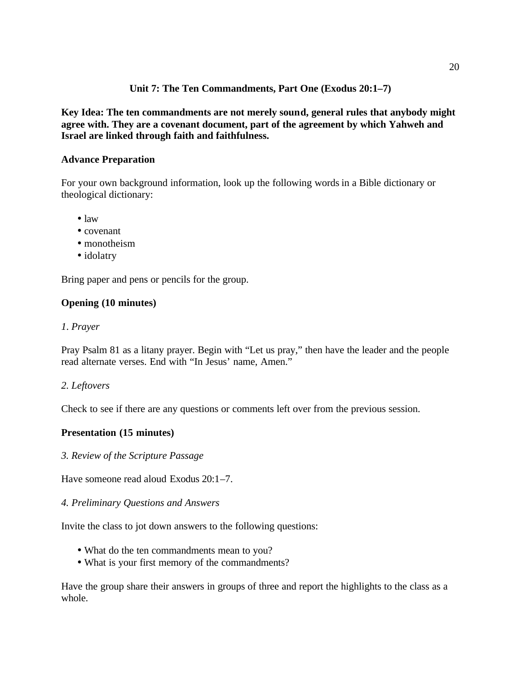## **Unit 7: The Ten Commandments, Part One (Exodus 20:1–7)**

**Key Idea: The ten commandments are not merely sound, general rules that anybody might agree with. They are a covenant document, part of the agreement by which Yahweh and Israel are linked through faith and faithfulness.**

## **Advance Preparation**

For your own background information, look up the following words in a Bible dictionary or theological dictionary:

- law
- covenant
- monotheism
- idolatry

Bring paper and pens or pencils for the group.

#### **Opening (10 minutes)**

#### *1*. *Prayer*

Pray Psalm 81 as a litany prayer. Begin with "Let us pray," then have the leader and the people read alternate verses. End with "In Jesus' name, Amen."

#### *2. Leftovers*

Check to see if there are any questions or comments left over from the previous session.

#### **Presentation (15 minutes)**

#### *3. Review of the Scripture Passage*

Have someone read aloud Exodus 20:1–7.

### *4. Preliminary Questions and Answers*

Invite the class to jot down answers to the following questions:

- What do the ten commandments mean to you?
- What is your first memory of the commandments?

Have the group share their answers in groups of three and report the highlights to the class as a whole.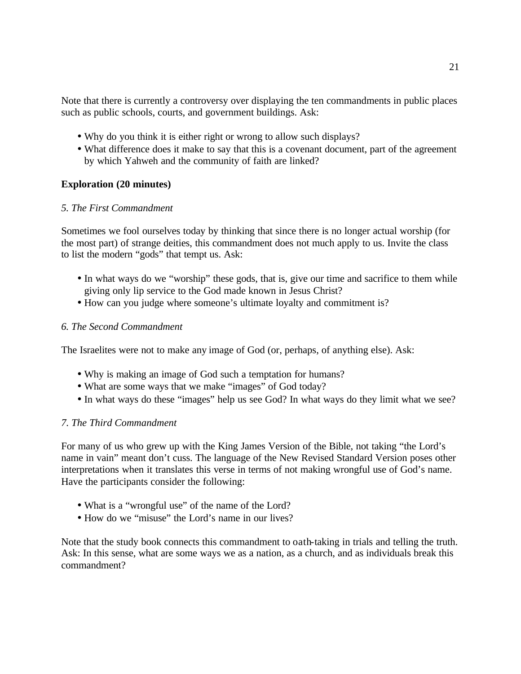Note that there is currently a controversy over displaying the ten commandments in public places such as public schools, courts, and government buildings. Ask:

- Why do you think it is either right or wrong to allow such displays?
- What difference does it make to say that this is a covenant document, part of the agreement by which Yahweh and the community of faith are linked?

## **Exploration (20 minutes)**

## *5. The First Commandment*

Sometimes we fool ourselves today by thinking that since there is no longer actual worship (for the most part) of strange deities, this commandment does not much apply to us. Invite the class to list the modern "gods" that tempt us. Ask:

- In what ways do we "worship" these gods, that is, give our time and sacrifice to them while giving only lip service to the God made known in Jesus Christ?
- How can you judge where someone's ultimate loyalty and commitment is?

## *6. The Second Commandment*

The Israelites were not to make any image of God (or, perhaps, of anything else). Ask:

- Why is making an image of God such a temptation for humans?
- What are some ways that we make "images" of God today?
- In what ways do these "images" help us see God? In what ways do they limit what we see?

## *7. The Third Commandment*

For many of us who grew up with the King James Version of the Bible, not taking "the Lord's name in vain" meant don't cuss. The language of the New Revised Standard Version poses other interpretations when it translates this verse in terms of not making wrongful use of God's name. Have the participants consider the following:

- What is a "wrongful use" of the name of the Lord?
- How do we "misuse" the Lord's name in our lives?

Note that the study book connects this commandment to oath-taking in trials and telling the truth. Ask: In this sense, what are some ways we as a nation, as a church, and as individuals break this commandment?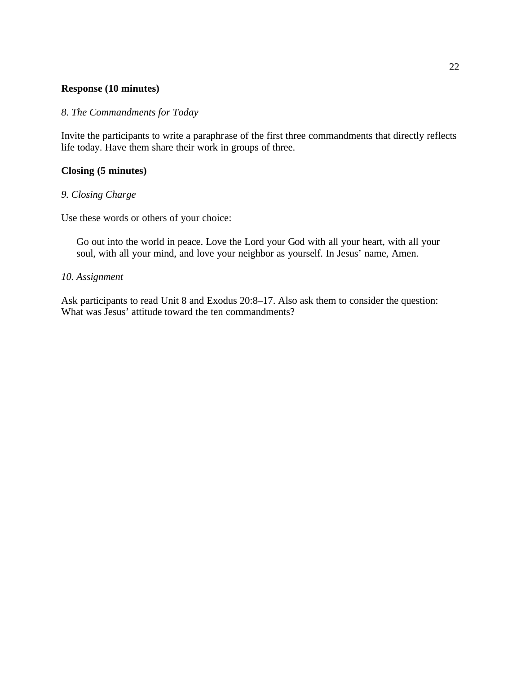#### **Response (10 minutes)**

## *8. The Commandments for Today*

Invite the participants to write a paraphrase of the first three commandments that directly reflects life today. Have them share their work in groups of three.

## **Closing (5 minutes)**

## *9. Closing Charge*

Use these words or others of your choice:

Go out into the world in peace. Love the Lord your God with all your heart, with all your soul, with all your mind, and love your neighbor as yourself. In Jesus' name, Amen.

## *10. Assignment*

Ask participants to read Unit 8 and Exodus 20:8–17. Also ask them to consider the question: What was Jesus' attitude toward the ten commandments?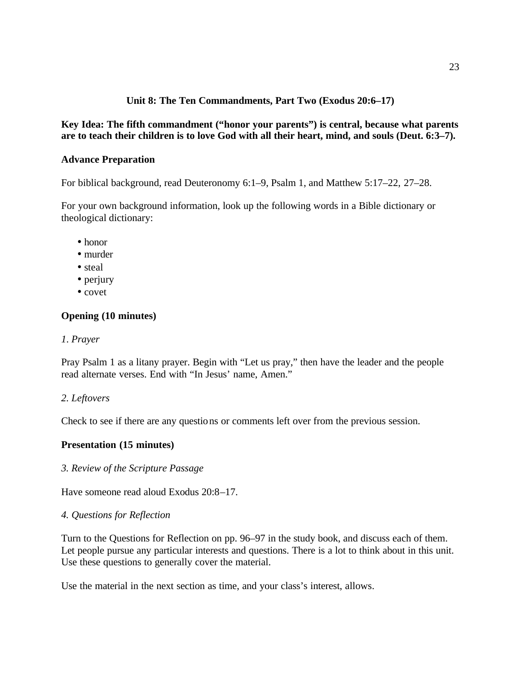## **Unit 8: The Ten Commandments, Part Two (Exodus 20:6–17)**

## **Key Idea: The fifth commandment ("honor your parents") is central, because what parents are to teach their children is to love God with all their heart, mind, and souls (Deut. 6:3–7).**

## **Advance Preparation**

For biblical background, read Deuteronomy 6:1–9, Psalm 1, and Matthew 5:17–22, 27–28.

For your own background information, look up the following words in a Bible dictionary or theological dictionary:

- honor
- murder
- steal
- perjury
- covet

## **Opening (10 minutes)**

## *1*. *Prayer*

Pray Psalm 1 as a litany prayer. Begin with "Let us pray," then have the leader and the people read alternate verses. End with "In Jesus' name, Amen."

## *2. Leftovers*

Check to see if there are any questions or comments left over from the previous session.

## **Presentation (15 minutes)**

## *3. Review of the Scripture Passage*

Have someone read aloud Exodus 20:8–17.

## *4. Questions for Reflection*

Turn to the Questions for Reflection on pp. 96–97 in the study book, and discuss each of them. Let people pursue any particular interests and questions. There is a lot to think about in this unit. Use these questions to generally cover the material.

Use the material in the next section as time, and your class's interest, allows.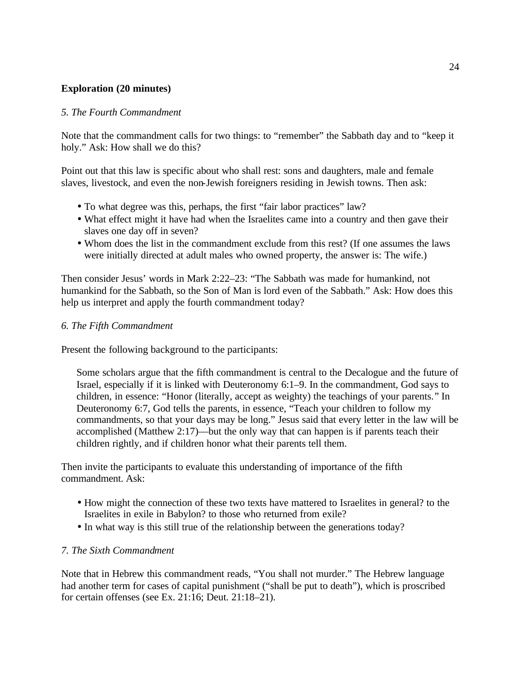## **Exploration (20 minutes)**

### *5. The Fourth Commandment*

Note that the commandment calls for two things: to "remember" the Sabbath day and to "keep it holy." Ask: How shall we do this?

Point out that this law is specific about who shall rest: sons and daughters, male and female slaves, livestock, and even the non-Jewish foreigners residing in Jewish towns. Then ask:

- To what degree was this, perhaps, the first "fair labor practices" law?
- What effect might it have had when the Israelites came into a country and then gave their slaves one day off in seven?
- Whom does the list in the commandment exclude from this rest? (If one assumes the laws were initially directed at adult males who owned property, the answer is: The wife.)

Then consider Jesus' words in Mark 2:22–23: "The Sabbath was made for humankind, not humankind for the Sabbath, so the Son of Man is lord even of the Sabbath." Ask: How does this help us interpret and apply the fourth commandment today?

## *6. The Fifth Commandment*

Present the following background to the participants:

Some scholars argue that the fifth commandment is central to the Decalogue and the future of Israel, especially if it is linked with Deuteronomy 6:1–9. In the commandment, God says to children, in essence: "Honor (literally, accept as weighty) the teachings of your parents." In Deuteronomy 6:7, God tells the parents, in essence, "Teach your children to follow my commandments, so that your days may be long." Jesus said that every letter in the law will be accomplished (Matthew 2:17)—but the only way that can happen is if parents teach their children rightly, and if children honor what their parents tell them.

Then invite the participants to evaluate this understanding of importance of the fifth commandment. Ask:

- How might the connection of these two texts have mattered to Israelites in general? to the Israelites in exile in Babylon? to those who returned from exile?
- In what way is this still true of the relationship between the generations today?

## *7. The Sixth Commandment*

Note that in Hebrew this commandment reads, "You shall not murder." The Hebrew language had another term for cases of capital punishment ("shall be put to death"), which is proscribed for certain offenses (see Ex. 21:16; Deut. 21:18–21).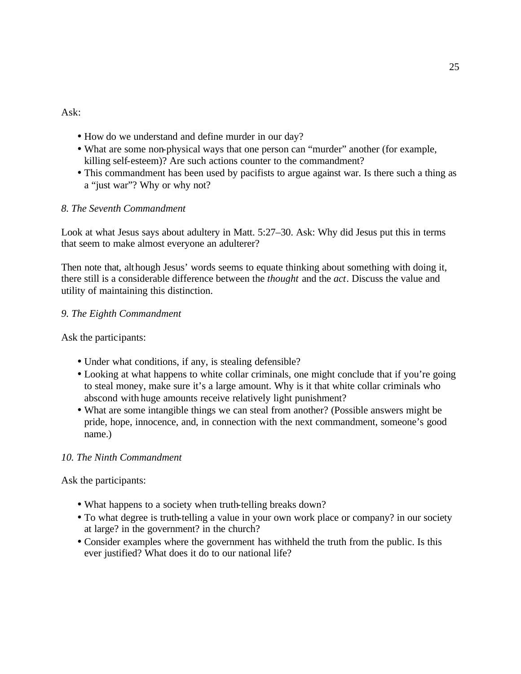Ask:

- How do we understand and define murder in our day?
- What are some non-physical ways that one person can "murder" another (for example, killing self-esteem)? Are such actions counter to the commandment?
- This commandment has been used by pacifists to argue against war. Is there such a thing as a "just war"? Why or why not?

## *8. The Seventh Commandment*

Look at what Jesus says about adultery in Matt. 5:27–30. Ask: Why did Jesus put this in terms that seem to make almost everyone an adulterer?

Then note that, although Jesus' words seems to equate thinking about something with doing it, there still is a considerable difference between the *thought* and the *act*. Discuss the value and utility of maintaining this distinction.

## *9. The Eighth Commandment*

Ask the participants:

- Under what conditions, if any, is stealing defensible?
- Looking at what happens to white collar criminals, one might conclude that if you're going to steal money, make sure it's a large amount. Why is it that white collar criminals who abscond with huge amounts receive relatively light punishment?
- What are some intangible things we can steal from another? (Possible answers might be pride, hope, innocence, and, in connection with the next commandment, someone's good name.)

# *10. The Ninth Commandment*

Ask the participants:

- What happens to a society when truth-telling breaks down?
- To what degree is truth-telling a value in your own work place or company? in our society at large? in the government? in the church?
- Consider examples where the government has withheld the truth from the public. Is this ever justified? What does it do to our national life?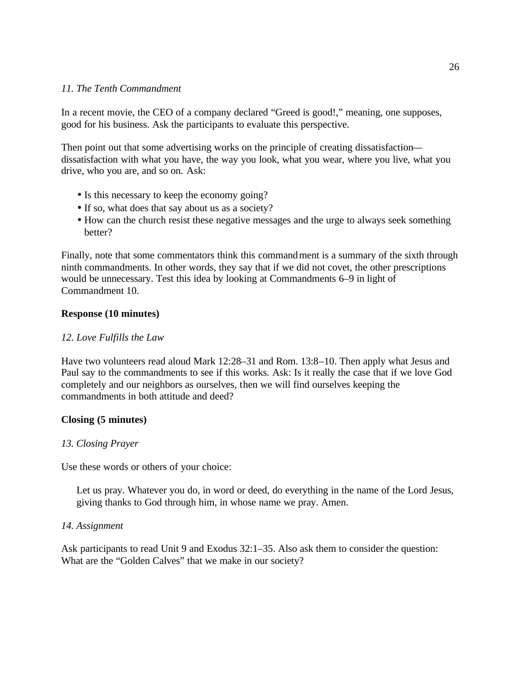## *11. The Tenth Commandment*

In a recent movie, the CEO of a company declared "Greed is good!," meaning, one supposes, good for his business. Ask the participants to evaluate this perspective.

Then point out that some advertising works on the principle of creating dissatisfaction dissatisfaction with what you have, the way you look, what you wear, where you live, what you drive, who you are, and so on. Ask:

- Is this necessary to keep the economy going?
- If so, what does that say about us as a society?
- How can the church resist these negative messages and the urge to always seek something better?

Finally, note that some commentators think this commandment is a summary of the sixth through ninth commandments. In other words, they say that if we did not covet, the other prescriptions would be unnecessary. Test this idea by looking at Commandments 6–9 in light of Commandment 10.

## **Response (10 minutes)**

### *12. Love Fulfills the Law*

Have two volunteers read aloud Mark 12:28–31 and Rom. 13:8–10. Then apply what Jesus and Paul say to the commandments to see if this works. Ask: Is it really the case that if we love God completely and our neighbors as ourselves, then we will find ourselves keeping the commandments in both attitude and deed?

## **Closing (5 minutes)**

#### *13. Closing Prayer*

Use these words or others of your choice:

Let us pray. Whatever you do, in word or deed, do everything in the name of the Lord Jesus, giving thanks to God through him, in whose name we pray. Amen.

#### *14. Assignment*

Ask participants to read Unit 9 and Exodus 32:1–35. Also ask them to consider the question: What are the "Golden Calves" that we make in our society?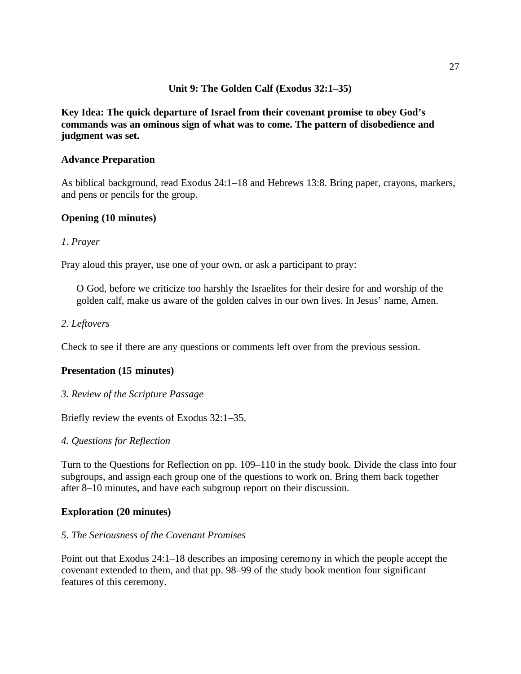## **Unit 9: The Golden Calf (Exodus 32:1–35)**

**Key Idea: The quick departure of Israel from their covenant promise to obey God's commands was an ominous sign of what was to come. The pattern of disobedience and judgment was set.** 

## **Advance Preparation**

As biblical background, read Exodus 24:1–18 and Hebrews 13:8. Bring paper, crayons, markers, and pens or pencils for the group.

### **Opening (10 minutes)**

### *1*. *Prayer*

Pray aloud this prayer, use one of your own, or ask a participant to pray:

O God, before we criticize too harshly the Israelites for their desire for and worship of the golden calf, make us aware of the golden calves in our own lives. In Jesus' name, Amen.

### *2. Leftovers*

Check to see if there are any questions or comments left over from the previous session.

#### **Presentation (15 minutes)**

*3. Review of the Scripture Passage*

Briefly review the events of Exodus 32:1–35.

#### *4. Questions for Reflection*

Turn to the Questions for Reflection on pp. 109–110 in the study book. Divide the class into four subgroups, and assign each group one of the questions to work on. Bring them back together after 8–10 minutes, and have each subgroup report on their discussion.

#### **Exploration (20 minutes)**

#### *5. The Seriousness of the Covenant Promises*

Point out that Exodus 24:1–18 describes an imposing ceremony in which the people accept the covenant extended to them, and that pp. 98–99 of the study book mention four significant features of this ceremony.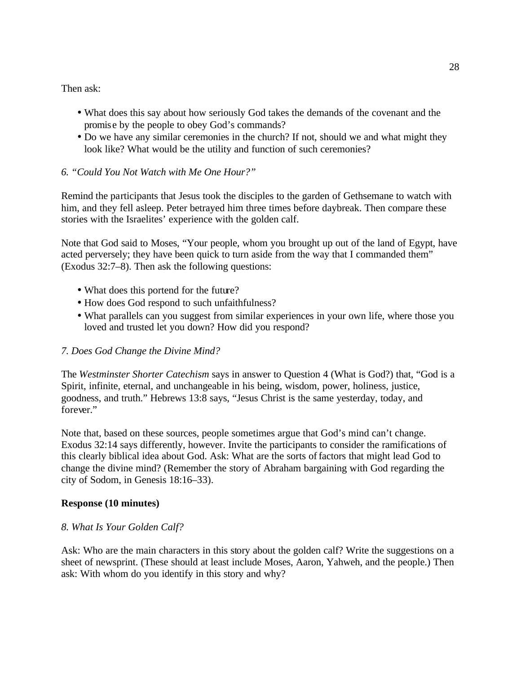Then ask:

- What does this say about how seriously God takes the demands of the covenant and the promise by the people to obey God's commands?
- Do we have any similar ceremonies in the church? If not, should we and what might they look like? What would be the utility and function of such ceremonies?

## *6. "Could You Not Watch with Me One Hour?"*

Remind the participants that Jesus took the disciples to the garden of Gethsemane to watch with him, and they fell asleep. Peter betrayed him three times before daybreak. Then compare these stories with the Israelites' experience with the golden calf.

Note that God said to Moses, "Your people, whom you brought up out of the land of Egypt, have acted perversely; they have been quick to turn aside from the way that I commanded them" (Exodus 32:7–8). Then ask the following questions:

- What does this portend for the future?
- How does God respond to such unfaithfulness?
- What parallels can you suggest from similar experiences in your own life, where those you loved and trusted let you down? How did you respond?

## *7. Does God Change the Divine Mind?*

The *Westminster Shorter Catechism* says in answer to Question 4 (What is God?) that, "God is a Spirit, infinite, eternal, and unchangeable in his being, wisdom, power, holiness, justice, goodness, and truth." Hebrews 13:8 says, "Jesus Christ is the same yesterday, today, and forever."

Note that, based on these sources, people sometimes argue that God's mind can't change. Exodus 32:14 says differently, however. Invite the participants to consider the ramifications of this clearly biblical idea about God. Ask: What are the sorts of factors that might lead God to change the divine mind? (Remember the story of Abraham bargaining with God regarding the city of Sodom, in Genesis 18:16–33).

## **Response (10 minutes)**

## *8. What Is Your Golden Calf?*

Ask: Who are the main characters in this story about the golden calf? Write the suggestions on a sheet of newsprint. (These should at least include Moses, Aaron, Yahweh, and the people.) Then ask: With whom do you identify in this story and why?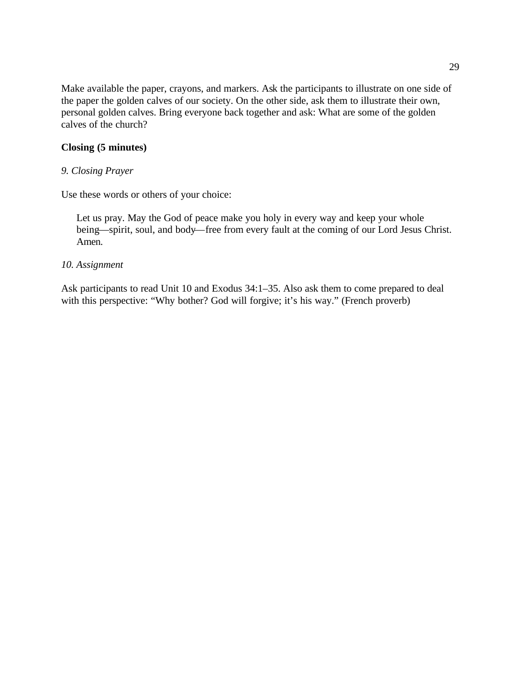Make available the paper, crayons, and markers. Ask the participants to illustrate on one side of the paper the golden calves of our society. On the other side, ask them to illustrate their own, personal golden calves. Bring everyone back together and ask: What are some of the golden calves of the church?

## **Closing (5 minutes)**

## *9. Closing Prayer*

Use these words or others of your choice:

Let us pray. May the God of peace make you holy in every way and keep your whole being—spirit, soul, and body—free from every fault at the coming of our Lord Jesus Christ. Amen.

## *10. Assignment*

Ask participants to read Unit 10 and Exodus 34:1–35. Also ask them to come prepared to deal with this perspective: "Why bother? God will forgive; it's his way." (French proverb)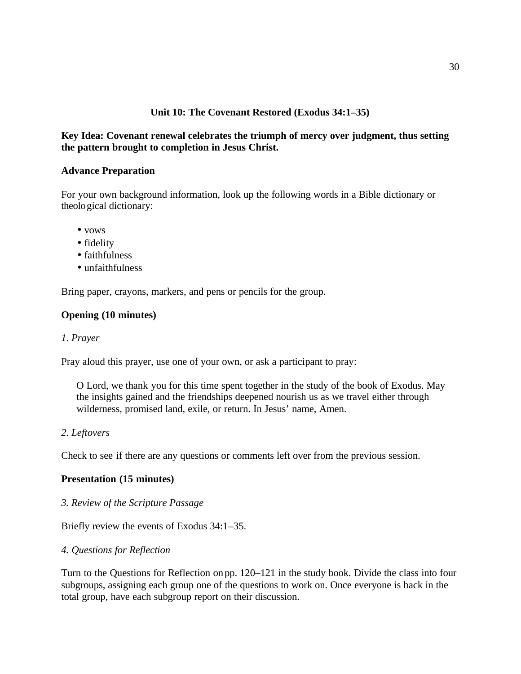## **Unit 10: The Covenant Restored (Exodus 34:1–35)**

## **Key Idea: Covenant renewal celebrates the triumph of mercy over judgment, thus setting the pattern brought to completion in Jesus Christ.**

## **Advance Preparation**

For your own background information, look up the following words in a Bible dictionary or theological dictionary:

- vows
- fidelity
- faithfulness
- unfaithfulness

Bring paper, crayons, markers, and pens or pencils for the group.

### **Opening (10 minutes)**

#### *1*. *Prayer*

Pray aloud this prayer, use one of your own, or ask a participant to pray:

O Lord, we thank you for this time spent together in the study of the book of Exodus. May the insights gained and the friendships deepened nourish us as we travel either through wilderness, promised land, exile, or return. In Jesus' name, Amen.

#### *2. Leftovers*

Check to see if there are any questions or comments left over from the previous session.

#### **Presentation (15 minutes)**

*3. Review of the Scripture Passage*

Briefly review the events of Exodus 34:1–35.

#### *4. Questions for Reflection*

Turn to the Questions for Reflection on pp. 120–121 in the study book. Divide the class into four subgroups, assigning each group one of the questions to work on. Once everyone is back in the total group, have each subgroup report on their discussion.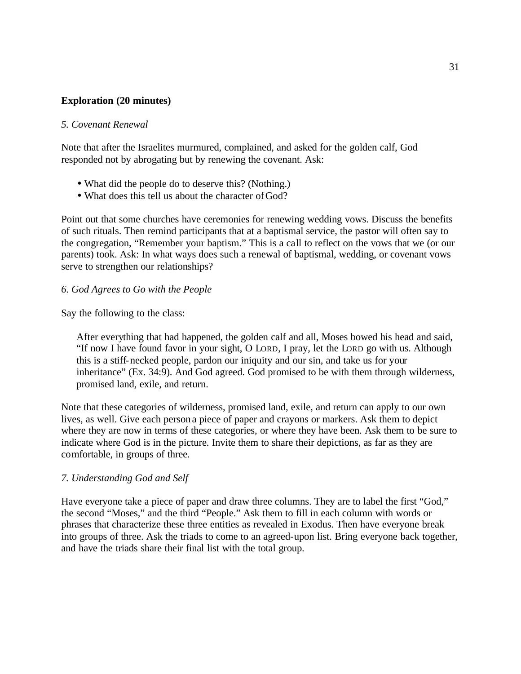## **Exploration (20 minutes)**

### *5. Covenant Renewal*

Note that after the Israelites murmured, complained, and asked for the golden calf, God responded not by abrogating but by renewing the covenant. Ask:

- What did the people do to deserve this? (Nothing.)
- What does this tell us about the character of God?

Point out that some churches have ceremonies for renewing wedding vows. Discuss the benefits of such rituals. Then remind participants that at a baptismal service, the pastor will often say to the congregation, "Remember your baptism." This is a call to reflect on the vows that we (or our parents) took. Ask: In what ways does such a renewal of baptismal, wedding, or covenant vows serve to strengthen our relationships?

### *6. God Agrees to Go with the People*

Say the following to the class:

After everything that had happened, the golden calf and all, Moses bowed his head and said, "If now I have found favor in your sight, O LORD, I pray, let the LORD go with us. Although this is a stiff-necked people, pardon our iniquity and our sin, and take us for your inheritance" (Ex. 34:9). And God agreed. God promised to be with them through wilderness, promised land, exile, and return.

Note that these categories of wilderness, promised land, exile, and return can apply to our own lives, as well. Give each person a piece of paper and crayons or markers. Ask them to depict where they are now in terms of these categories, or where they have been. Ask them to be sure to indicate where God is in the picture. Invite them to share their depictions, as far as they are comfortable, in groups of three.

#### *7. Understanding God and Self*

Have everyone take a piece of paper and draw three columns. They are to label the first "God," the second "Moses," and the third "People." Ask them to fill in each column with words or phrases that characterize these three entities as revealed in Exodus. Then have everyone break into groups of three. Ask the triads to come to an agreed-upon list. Bring everyone back together, and have the triads share their final list with the total group.